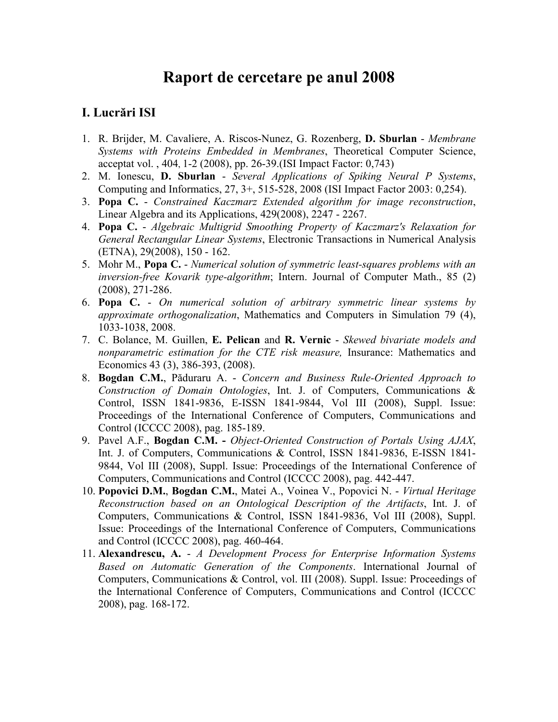# **Raport de cercetare pe anul 2008**

## **I. Lucrări ISI**

- 1. R. Brijder, M. Cavaliere, A. Riscos-Nunez, G. Rozenberg, **D. Sburlan** *Membrane Systems with Proteins Embedded in Membranes*, Theoretical Computer Science, acceptat vol. , 404, 1-2 (2008), pp. 26-39.(ISI Impact Factor: 0,743)
- 2. M. Ionescu, **D. Sburlan** *Several Applications of Spiking Neural P Systems*, Computing and Informatics, 27, 3+, 515-528, 2008 (ISI Impact Factor 2003: 0,254).
- 3. **Popa C.** *Constrained Kaczmarz Extended algorithm for image reconstruction*, Linear Algebra and its Applications, 429(2008), 2247 - 2267.
- 4. **Popa C.** *Algebraic Multigrid Smoothing Property of Kaczmarz's Relaxation for General Rectangular Linear Systems*, Electronic Transactions in Numerical Analysis (ETNA), 29(2008), 150 - 162.
- 5. Mohr M., **Popa C.** *Numerical solution of symmetric least-squares problems with an inversion-free Kovarik type-algorithm*; Intern. Journal of Computer Math., 85 (2) (2008), 271-286.
- 6. **Popa C.** *On numerical solution of arbitrary symmetric linear systems by approximate orthogonalization*, Mathematics and Computers in Simulation 79 (4), 1033-1038, 2008.
- 7. C. Bolance, M. Guillen, **E. Pelican** and **R. Vernic** *Skewed bivariate models and nonparametric estimation for the CTE risk measure,* Insurance: Mathematics and Economics 43 (3), 386-393, (2008).
- 8. **Bogdan C.M.**, Păduraru A. *Concern and Business Rule-Oriented Approach to Construction of Domain Ontologies*, Int. J. of Computers, Communications & Control, ISSN 1841-9836, E-ISSN 1841-9844, Vol III (2008), Suppl. Issue: Proceedings of the International Conference of Computers, Communications and Control (ICCCC 2008), pag. 185-189.
- 9. Pavel A.F., **Bogdan C.M. -** *Object-Oriented Construction of Portals Using AJAX*, Int. J. of Computers, Communications & Control, ISSN 1841-9836, E-ISSN 1841- 9844, Vol III (2008), Suppl. Issue: Proceedings of the International Conference of Computers, Communications and Control (ICCCC 2008), pag. 442-447.
- 10. **Popovici D.M.**, **Bogdan C.M.**, Matei A., Voinea V., Popovici N. *Virtual Heritage Reconstruction based on an Ontological Description of the Artifacts*, Int. J. of Computers, Communications & Control, ISSN 1841-9836, Vol III (2008), Suppl. Issue: Proceedings of the International Conference of Computers, Communications and Control (ICCCC 2008), pag. 460-464.
- 11. **Alexandrescu, A.** *A Development Process for Enterprise Information Systems Based on Automatic Generation of the Components*. International Journal of Computers, Communications & Control, vol. III (2008). Suppl. Issue: Proceedings of the International Conference of Computers, Communications and Control (ICCCC 2008), pag. 168-172.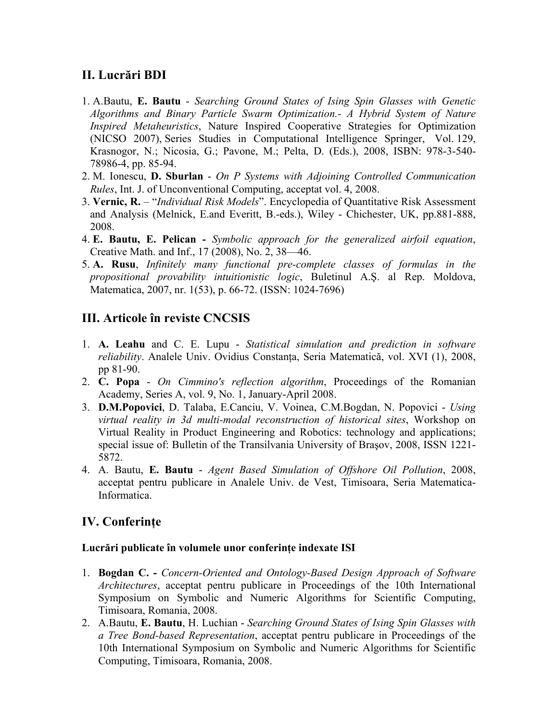## **II. Lucrări BDI**

- 1. A.Bautu, **E. Bautu** *Searching Ground States of Ising Spin Glasses with Genetic Algorithms and Binary Particle Swarm Optimization.- A Hybrid System of Nature Inspired Metaheuristics*, Nature Inspired Cooperative Strategies for Optimization (NICSO 2007), Series Studies in Computational Intelligence Springer, Vol. 129, Krasnogor, N.; Nicosia, G.; Pavone, M.; Pelta, D. (Eds.), 2008, ISBN: 978-3-540- 78986-4, pp. 85-94.
- 2. M. Ionescu, **D. Sburlan** *On P Systems with Adjoining Controlled Communication Rules*, Int. J. of Unconventional Computing, acceptat vol. 4, 2008.
- 3. **Vernic, R.** "*Individual Risk Models*". Encyclopedia of Quantitative Risk Assessment and Analysis (Melnick, E.and Everitt, B.-eds.), Wiley - Chichester, UK, pp.881-888, 2008.
- 4. **E. Bautu, E. Pelican** *Symbolic approach for the generalized airfoil equation*, Creative Math. and Inf., 17 (2008), No. 2, 38—46.
- 5. **A. Rusu**, *Infinitely many functional pre-complete classes of formulas in the propositional provability intuitionistic logic*, Buletinul A.Ş. al Rep. Moldova, Matematica, 2007, nr. 1(53), p. 66-72. (ISSN: 1024-7696)

## **III. Articole în reviste CNCSIS**

- 1. **A. Leahu** and C. E. Lupu *Statistical simulation and prediction in software reliability*. Analele Univ. Ovidius Constanța, Seria Matematică, vol. XVI (1), 2008, pp 81-90.
- 2. **C. Popa** *On Cimmino's reflection algorithm*, Proceedings of the Romanian Academy, Series A, vol. 9, No. 1, January-April 2008.
- 3. **D.M.Popovici**, D. Talaba, E.Canciu, V. Voinea, C.M.Bogdan, N. Popovici *Using virtual reality in 3d multi-modal reconstruction of historical sites*, Workshop on Virtual Reality in Product Engineering and Robotics: technology and applications; special issue of: Bulletin of the Transilvania University of Braşov, 2008, ISSN 1221- 5872.
- 4. A. Bautu, **E. Bautu** *Agent Based Simulation of Offshore Oil Pollution*, 2008, acceptat pentru publicare in Analele Univ. de Vest, Timisoara, Seria Matematica-Informatica.

### **IV. Conferinţe**

#### **Lucrări publicate în volumele unor conferinţe indexate ISI**

- 1. **Bogdan C. -** *Concern-Oriented and Ontology-Based Design Approach of Software Architectures*, acceptat pentru publicare in Proceedings of the 10th International Symposium on Symbolic and Numeric Algorithms for Scientific Computing, Timisoara, Romania, 2008.
- 2. A.Bautu, **E. Bautu**, H. Luchian *Searching Ground States of Ising Spin Glasses with a Tree Bond-based Representation*, acceptat pentru publicare in Proceedings of the 10th International Symposium on Symbolic and Numeric Algorithms for Scientific Computing, Timisoara, Romania, 2008.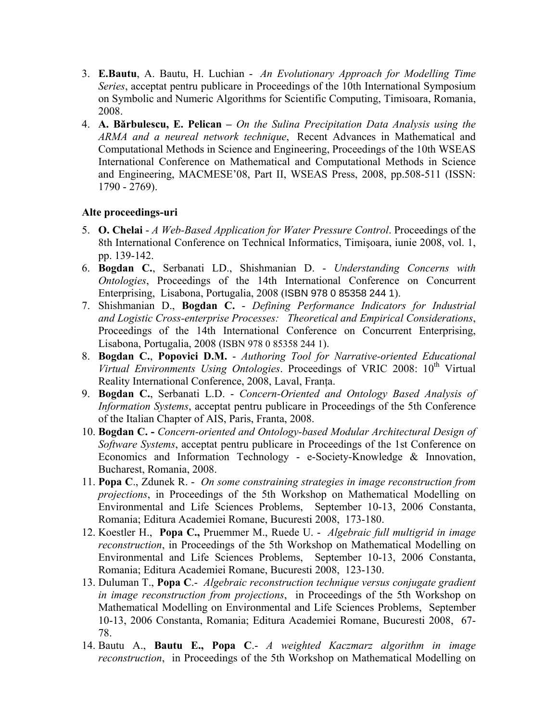- 3. **E.Bautu**, A. Bautu, H. Luchian *An Evolutionary Approach for Modelling Time Series*, acceptat pentru publicare in Proceedings of the 10th International Symposium on Symbolic and Numeric Algorithms for Scientific Computing, Timisoara, Romania, 2008.
- 4. **A. Bărbulescu, E. Pelican** *On the Sulina Precipitation Data Analysis using the ARMA and a neureal network technique*, Recent Advances in Mathematical and Computational Methods in Science and Engineering, Proceedings of the 10th WSEAS International Conference on Mathematical and Computational Methods in Science and Engineering, MACMESE'08, Part II, WSEAS Press, 2008, pp.508-511 (ISSN: 1790 - 2769).

### **Alte proceedings-uri**

- 5. **O. Chelai** *A Web-Based Application for Water Pressure Control*. Proceedings of the 8th International Conference on Technical Informatics, Timişoara, iunie 2008, vol. 1, pp. 139-142.
- 6. **Bogdan C.**, Serbanati LD., Shishmanian D. *Understanding Concerns with Ontologies*, Proceedings of the 14th International Conference on Concurrent Enterprising, Lisabona, Portugalia, 2008 (ISBN 978 0 85358 244 1).
- 7. Shishmanian D., **Bogdan C.** *Defining Performance Indicators for Industrial and Logistic Cross-enterprise Processes: Theoretical and Empirical Considerations*, Proceedings of the 14th International Conference on Concurrent Enterprising, Lisabona, Portugalia, 2008 (ISBN 978 0 85358 244 1).
- 8. **Bogdan C.**, **Popovici D.M.** *Authoring Tool for Narrative-oriented Educational Virtual Environments Using Ontologies*. Proceedings of VRIC 2008: 10<sup>th</sup> Virtual Reality International Conference, 2008, Laval, Franța.
- 9. **Bogdan C.**, Serbanati L.D. *Concern-Oriented and Ontology Based Analysis of Information Systems*, acceptat pentru publicare in Proceedings of the 5th Conference of the Italian Chapter of AIS, Paris, Franta, 2008.
- 10. **Bogdan C.** *Concern-oriented and Ontology-based Modular Architectural Design of Software Systems*, acceptat pentru publicare in Proceedings of the 1st Conference on Economics and Information Technology - e-Society-Knowledge & Innovation, Bucharest, Romania, 2008.
- 11. **Popa C**., Zdunek R. *On some constraining strategies in image reconstruction from projections*, in Proceedings of the 5th Workshop on Mathematical Modelling on Environmental and Life Sciences Problems, September 10-13, 2006 Constanta, Romania; Editura Academiei Romane, Bucuresti 2008, 173-180.
- 12. Koestler H., **Popa C.,** Pruemmer M., Ruede U. *Algebraic full multigrid in image reconstruction*, in Proceedings of the 5th Workshop on Mathematical Modelling on Environmental and Life Sciences Problems, September 10-13, 2006 Constanta, Romania; Editura Academiei Romane, Bucuresti 2008, 123-130.
- 13. Duluman T., **Popa C**.- *Algebraic reconstruction technique versus conjugate gradient in image reconstruction from projections*, in Proceedings of the 5th Workshop on Mathematical Modelling on Environmental and Life Sciences Problems, September 10-13, 2006 Constanta, Romania; Editura Academiei Romane, Bucuresti 2008, 67- 78.
- 14. Bautu A., **Bautu E., Popa C**.- *A weighted Kaczmarz algorithm in image reconstruction*, in Proceedings of the 5th Workshop on Mathematical Modelling on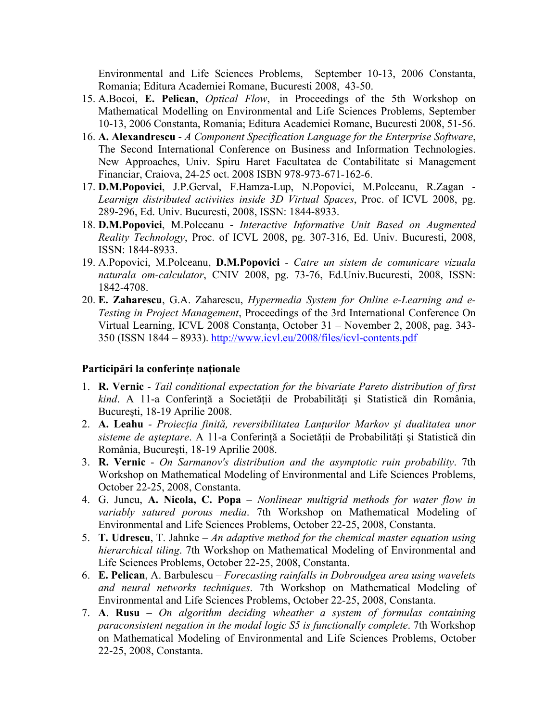Environmental and Life Sciences Problems, September 10-13, 2006 Constanta, Romania; Editura Academiei Romane, Bucuresti 2008, 43-50.

- 15. A.Bocoi, **E. Pelican**, *Optical Flow*, in Proceedings of the 5th Workshop on Mathematical Modelling on Environmental and Life Sciences Problems, September 10-13, 2006 Constanta, Romania; Editura Academiei Romane, Bucuresti 2008, 51-56.
- 16. **A. Alexandrescu** *A Component Specification Language for the Enterprise Software*, The Second International Conference on Business and Information Technologies. New Approaches, Univ. Spiru Haret Facultatea de Contabilitate si Management Financiar, Craiova, 24-25 oct. 2008 ISBN 978-973-671-162-6.
- 17. **D.M.Popovici**, J.P.Gerval, F.Hamza-Lup, N.Popovici, M.Polceanu, R.Zagan *Learnign distributed activities inside 3D Virtual Spaces*, Proc. of ICVL 2008, pg. 289-296, Ed. Univ. Bucuresti, 2008, ISSN: 1844-8933.
- 18. **D.M.Popovici**, M.Polceanu *Interactive Informative Unit Based on Augmented Reality Technology*, Proc. of ICVL 2008, pg. 307-316, Ed. Univ. Bucuresti, 2008, ISSN: 1844-8933.
- 19. A.Popovici, M.Polceanu, **D.M.Popovici** *Catre un sistem de comunicare vizuala naturala om-calculator*, CNIV 2008, pg. 73-76, Ed.Univ.Bucuresti, 2008, ISSN: 1842-4708.
- 20. **E. Zaharescu**, G.A. Zaharescu, *Hypermedia System for Online e-Learning and e-Testing in Project Management*, Proceedings of the 3rd International Conference On Virtual Learning, ICVL 2008 Constanţa, October 31 – November 2, 2008, pag. 343- 350 (ISSN 1844 – 8933). <http://www.icvl.eu/2008/files/icvl-contents.pdf>

#### **Participări la conferinţe naţionale**

- 1. **R. Vernic** *Tail conditional expectation for the bivariate Pareto distribution of first kind*. A 11-a Conferinţă a Societăţii de Probabilităţi şi Statistică din România, Bucureşti, 18-19 Aprilie 2008.
- 2. **A. Leahu**  *Proiecţia finită, reversibilitatea Lanţurilor Markov şi dualitatea unor sisteme de aşteptare*. A 11-a Conferinţă a Societăţii de Probabilităţi şi Statistică din România, Bucureşti, 18-19 Aprilie 2008.
- 3. **R. Vernic** *On Sarmanov's distribution and the asymptotic ruin probability*. 7th Workshop on Mathematical Modeling of Environmental and Life Sciences Problems, October 22-25, 2008, Constanta.
- 4. G. Juncu, **A. Nicola, C. Popa** *Nonlinear multigrid methods for water flow in variably satured porous media*. 7th Workshop on Mathematical Modeling of Environmental and Life Sciences Problems, October 22-25, 2008, Constanta.
- 5. **T. Udrescu**, T. Jahnke *An adaptive method for the chemical master equation using hierarchical tiling*. 7th Workshop on Mathematical Modeling of Environmental and Life Sciences Problems, October 22-25, 2008, Constanta.
- 6. **E. Pelican**, A. Barbulescu *Forecasting rainfalls in Dobroudgea area using wavelets and neural networks techniques*. 7th Workshop on Mathematical Modeling of Environmental and Life Sciences Problems, October 22-25, 2008, Constanta.
- 7. **A**. **Rusu** *On algorithm deciding wheather a system of formulas containing paraconsistent negation in the modal logic S5 is functionally complete*. 7th Workshop on Mathematical Modeling of Environmental and Life Sciences Problems, October 22-25, 2008, Constanta.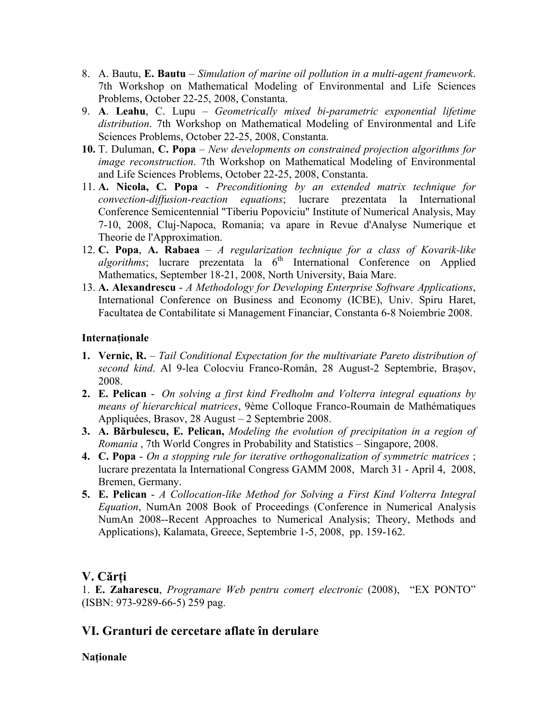- 8. A. Bautu, **E. Bautu** *Simulation of marine oil pollution in a multi-agent framework*. 7th Workshop on Mathematical Modeling of Environmental and Life Sciences Problems, October 22-25, 2008, Constanta.
- 9. **A**. **Leahu**, C. Lupu *Geometrically mixed bi-parametric exponential lifetime distribution*. 7th Workshop on Mathematical Modeling of Environmental and Life Sciences Problems, October 22-25, 2008, Constanta.
- **10.** T. Duluman, **C. Popa** *New developments on constrained projection algorithms for image reconstruction*. 7th Workshop on Mathematical Modeling of Environmental and Life Sciences Problems, October 22-25, 2008, Constanta.
- 11. **A. Nicola, C. Popa** *Preconditioning by an extended matrix technique for convection-diffusion-reaction equations*; lucrare prezentata la International Conference Semicentennial "Tiberiu Popoviciu" Institute of Numerical Analysis, May 7-10, 2008, Cluj-Napoca, Romania; va apare in Revue d'Analyse Numerique et Theorie de l'Approximation.
- 12. **C. Popa**, **A. Rabaea** *A regularization technique for a class of Kovarik-like*   $algorithms$ ; lucrare prezentata la  $6<sup>th</sup>$  International Conference on Applied Mathematics, September 18-21, 2008, North University, Baia Mare.
- 13. **A. Alexandrescu** *A Methodology for Developing Enterprise Software Applications*, International Conference on Business and Economy (ICBE), Univ. Spiru Haret, Facultatea de Contabilitate si Management Financiar, Constanta 6-8 Noiembrie 2008.

### **Internaţionale**

- **1. Vernic, R.** *Tail Conditional Expectation for the multivariate Pareto distribution of second kind*. Al 9-lea Colocviu Franco-Român, 28 August-2 Septembrie, Braşov, 2008.
- **2. E. Pelican** *On solving a first kind Fredholm and Volterra integral equations by means of hierarchical matrices*, 9ème Colloque Franco-Roumain de Mathématiques Appliquées, Brasov, 28 August – 2 Septembrie 2008.
- **3. A. Bărbulescu, E. Pelican,** *Modeling the evolution of precipitation in a region of Romania* , 7th World Congres in Probability and Statistics – Singapore, 2008.
- **4. C. Popa** *On a stopping rule for iterative orthogonalization of symmetric matrices* ; lucrare prezentata la International Congress GAMM 2008, March 31 - April 4, 2008, Bremen, Germany.
- **5. E. Pelican** *A Collocation-like Method for Solving a First Kind Volterra Integral Equation*, NumAn 2008 Book of Proceedings (Conference in Numerical Analysis NumAn 2008--Recent Approaches to Numerical Analysis; Theory, Methods and Applications), Kalamata, Greece, Septembrie 1-5, 2008, pp. 159-162.

## **V. Cărţi**

1. **E. Zaharescu**, *Programare Web pentru comerţ electronic* (2008), "EX PONTO" (ISBN: 973-9289-66-5) 259 pag.

## **VI. Granturi de cercetare aflate în derulare**

### **Naţionale**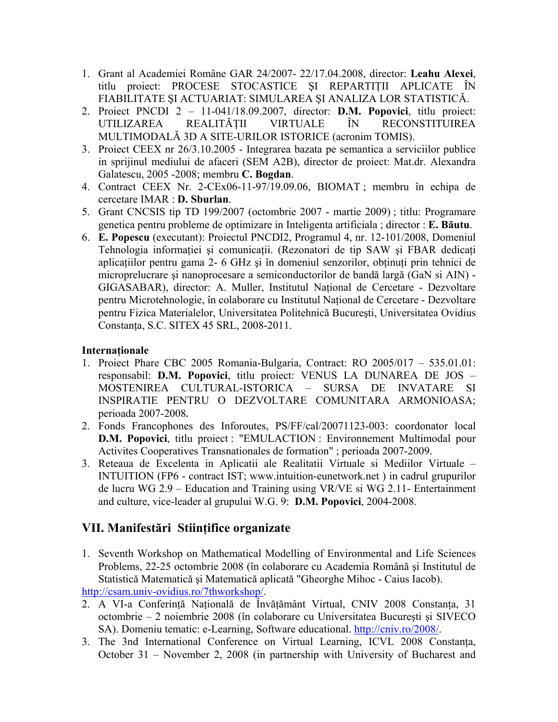- 1. Grant al Academiei Române GAR 24/2007- 22/17.04.2008, director: **Leahu Alexei**, titlu proiect: PROCESE STOCASTICE SI REPARTITII APLICATE ÎN FIABILITATE ŞI ACTUARIAT: SIMULAREA ŞI ANALIZA LOR STATISTICĂ.
- 2. Proiect PNCDI 2 11-041/18.09.2007, director: **D.M. Popovici**, titlu proiect: UTILIZAREA REALITĂŢII VIRTUALE ÎN RECONSTITUIREA MULTIMODALĂ 3D A SITE-URILOR ISTORICE (acronim TOMIS).
- 3. Proiect CEEX nr 26/3.10.2005 Integrarea bazata pe semantica a serviciilor publice in sprijinul mediului de afaceri (SEM A2B), director de proiect: Mat.dr. Alexandra Galatescu, 2005 -2008; membru **C. Bogdan**.
- 4. Contract CEEX Nr. 2-CEx06-11-97/19.09.06, BIOMAT ; membru în echipa de cercetare IMAR : **D. Sburlan**.
- 5. Grant CNCSIS tip TD 199/2007 (octombrie 2007 martie 2009) ; titlu: Programare genetica pentru probleme de optimizare in Inteligenta artificiala ; director : **E. Băutu**.
- 6. **E. Popescu** (executant): Proiectul PNCDI2, Programul 4, nr. 12-101/2008, Domeniul Tehnologia informației și comunicații. (Rezonatori de tip SAW și FBAR dedicați aplicatiilor pentru gama 2- 6 GHz și în domeniul senzorilor, obținuți prin tehnici de microprelucrare şi nanoprocesare a semiconductorilor de bandă largă (GaN si AIN) - GIGASABAR), director: A. Muller, Institutul National de Cercetare - Dezvoltare pentru Microtehnologie, în colaborare cu Institutul Naţional de Cercetare - Dezvoltare pentru Fizica Materialelor, Universitatea Politehnică Bucureşti, Universitatea Ovidius Constanţa, S.C. SITEX 45 SRL, 2008-2011.

### **Internaţionale**

- 1. Proiect Phare CBC 2005 Romania-Bulgaria, Contract: RO 2005/017 535.01.01: responsabil: **D.M. Popovici**, titlu proiect: VENUS LA DUNAREA DE JOS – MOSTENIREA CULTURAL-ISTORICA – SURSA DE INVATARE SI INSPIRATIE PENTRU O DEZVOLTARE COMUNITARA ARMONIOASA; perioada 2007-2008**.**
- 2. Fonds Francophones des Inforoutes, PS/FF/cal/20071123-003: coordonator local **D.M. Popovici**, titlu proiect : "EMULACTION : Environnement Multimodal pour Activites Cooperatives Transnationales de formation" ; perioada 2007-2009.
- 3. Reteaua de Excelenta in Aplicatii ale Realitatii Virtuale si Mediilor Virtuale INTUITION (FP6 - contract IST; [www.intuition-eunetwork.net](http://www.intuition-eunetwork.net/) ) in cadrul grupurilor de lucru WG 2.9 – Education and Training using VR/VE si WG 2.11- Entertainment and culture, vice-leader al grupului W.G. 9: **D.M. Popovici**, 2004-2008.

## **VII. Manifestări Stiinţifice organizate**

- 1. Seventh Workshop on Mathematical Modelling of Environmental and Life Sciences Problems, 22-25 octombrie 2008 (în colaborare cu Academia Română şi Institutul de Statistică Matematică şi Matematică aplicată "Gheorghe Mihoc - Caius Iacob). <http://csam.univ-ovidius.ro/7thworkshop/>.
- 2. A VI-a Conferință Națională de Învățământ Virtual, CNIV 2008 Constanța, 31 octombrie – 2 noiembrie 2008 (în colaborare cu Universitatea Bucureşti şi SIVECO SA). Domeniu tematic: e-Learning, Software educational. [http://cniv.ro/2008/.](http://cniv.ro/2008/)
- 3. The 3nd International Conference on Virtual Learning, ICVL 2008 Constanta, October 31 – November 2, 2008 (in partnership with University of Bucharest and